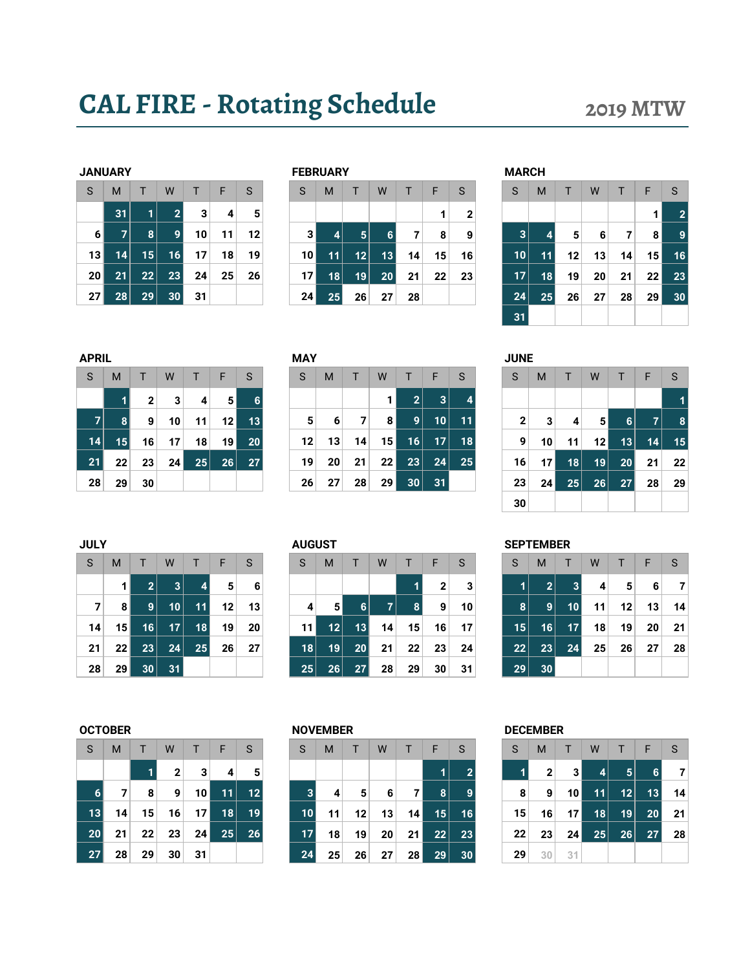# CAL FIRE - Rotating Schedule 2019 MTW

|    | <b>JANUARY</b> |    |                |    |    |                |
|----|----------------|----|----------------|----|----|----------------|
| S  | M              | T  | W              | T  | F  | S              |
|    | 31             | 1  | $\overline{2}$ | 3  | 4  |                |
| 6  | 7              | 8  | 9              | 10 | 11 | 12             |
| 13 | 14             | 15 | 16             | 17 | 18 | 19             |
| 20 | 21             | 22 | 23             | 24 | 25 | 2 <sub>0</sub> |
| 27 | 28             | 29 | 30             | 31 |    |                |

|                 | <b>JANUARY</b> |    |                 |    |    |              |    | <b>FEBRUARY</b>       |                 |    |    |    |    | <b>MARCH</b> |              |    |    |    |                 |    |
|-----------------|----------------|----|-----------------|----|----|--------------|----|-----------------------|-----------------|----|----|----|----|--------------|--------------|----|----|----|-----------------|----|
| S               | M              |    | W               |    | F  | <sub>S</sub> | S  | M                     |                 | W  |    | F  | S  | S            | M            |    | W  |    | F               | S  |
|                 | 31             | 1  |                 | 3  | 4  | 5            |    |                       |                 |    |    | и  | 2  |              |              |    |    |    |                 | 2  |
| 6 <sup>1</sup>  |                | 8  |                 | 10 | 11 | 12           |    | 3 <sup>1</sup><br>4   | $\vert 5 \vert$ | 6  | 7  | 8  | 9  | 3            |              | 5  | 6  |    | 8               | 9  |
| 13              | 14.            | 15 | 16 <sub>1</sub> | 17 | 18 | 19           |    | 10 <sup>1</sup><br>11 | 12              | 13 | 14 | 15 | 16 | 10           | 11           | 12 | 13 | 14 | 15 <sub>h</sub> | 16 |
| 20 <sub>1</sub> | 21             | 22 | 23              | 24 | 25 | 26           |    | 18<br>17              | 19              | 20 | 21 | 22 | 23 | 17           | 18           | 19 | 20 | 21 | 22              | 23 |
| 27 <sup>1</sup> | 28             | 29 | 30              | 31 |    |              | 24 | 25                    | 26              | 27 | 28 |    |    | 24           | $25^{\circ}$ | 26 | 27 | 28 | 29              | 30 |
|                 |                |    |                 |    |    |              |    |                       |                 |    |    |    |    |              |              |    |    |    |                 |    |

|     | NUARY |    |    |    |    |    |                | <b>FEBRUARY</b> |    |    |    |    |    | <b>MARCH</b> |    |    |    |                |                 |              |
|-----|-------|----|----|----|----|----|----------------|-----------------|----|----|----|----|----|--------------|----|----|----|----------------|-----------------|--------------|
|     | M     |    | W  |    | F  | S  | S              | M               |    | W  |    | F  | S  | S            | M  |    | W  |                | F               | S            |
|     | 31    |    | 2  | 3  | 4  | 5  |                |                 |    |    |    | 1  | າ  |              |    |    |    |                |                 | $\mathbf{2}$ |
| 6 ا | 7     | 8  | 9  | 10 | 11 | 12 | 3 <sup>1</sup> | 4               | 5  | 6. | 7  | 8  | 9  | 3            |    | 5  | 6  | $\overline{7}$ | 8               | ∣9∣          |
| ا 3 | 14    | 15 | 16 | 17 | 18 | 19 | 10             | 11              | 12 | 13 | 14 | 15 | 16 | 10           | 11 | 12 | 13 | 14             | 15 <sub>1</sub> | 16           |
| ا ہ | 21    | 22 | 23 | 24 | 25 | 26 | 17             | 18              | 19 | 20 | 21 | 22 | 23 | 17           | 18 | 19 | 20 | 21             | 22              | 23           |
| 71  | 28    | 29 | 30 | 31 |    |    | 24             | 25              | 26 | 27 | 28 |    |    | 24           | 25 | 26 | 27 | 28             | 29              | 30           |
|     |       |    |    |    |    |    |                |                 |    |    |    |    |    | 31           |    |    |    |                |                 |              |

| <b>APRIL</b> |                 |              |    |    |                |    | <b>MAY</b> |          |    | <b>JUNE</b>     |                       |                 |    |              |    |    |    |    |    |
|--------------|-----------------|--------------|----|----|----------------|----|------------|----------|----|-----------------|-----------------------|-----------------|----|--------------|----|----|----|----|----|
| S            | M               |              | W  |    | F              | S  | S          | M        |    | W               |                       | F               | S  | S            | M  |    | W  |    |    |
|              |                 | $\mathbf{2}$ | 3  | 4  | 5 <sup>1</sup> | 6  |            |          |    |                 | $\mathbf{2}^{\prime}$ | 3               |    |              |    |    |    |    |    |
| 7            | 8               | 9            | 10 | 11 | 12             | 13 |            | 5<br>6   | 7  | 8               | 9                     | $10$ $\mid$     | 11 | $\mathbf{2}$ | 3  | 4  | 5  | 6  |    |
| 14           | 15 <sup>1</sup> | 16           | 17 | 18 | 19             | 20 |            | 12<br>13 | 14 | 15 <sup>1</sup> | 16                    | 17 <sup>2</sup> | 18 | 9            | 10 | 11 | 12 | 13 | 14 |
| 21           | 22              | 23           | 24 | 25 | 26             | 27 |            | 19<br>20 | 21 | 22              | 23                    | 24              | 25 | 16           | 17 | 18 | 19 | 20 | 21 |
| 28           | 29              | 30           |    |    |                |    | 26         | 27       | 28 | 29              | 30                    | 31              |    | 23           | 24 | 25 | 26 | 27 | 28 |

| PRIL           |                 |                |    |    |                |    | <b>NAY</b> |    |    |    |                 |                 |              | JUNE |                 |    |                 |                 |    |              |
|----------------|-----------------|----------------|----|----|----------------|----|------------|----|----|----|-----------------|-----------------|--------------|------|-----------------|----|-----------------|-----------------|----|--------------|
| S.             | M               |                | W  |    | F              | S  | S          | M  |    | W  | т               | F               | <sub>S</sub> | S    | M               | т  | W               |                 | F  | <sub>S</sub> |
|                |                 | 2 <sub>1</sub> | 3  | 4  | 5 <sup>1</sup> | 6  |            |    |    |    | 2               | 3               |              |      |                 |    |                 |                 |    |              |
| $\overline{7}$ | 8               | 9              | 10 | 11 | 12             | 13 | 5          | 6  | 7  | 8  | $\mathbf{9}$    | 10 <sub>1</sub> | 11           | 2    | 3               | 4  | 5 <sup>1</sup>  | 6               |    | 8            |
| 14             | 15              | 16             | 17 | 18 | 19             | 20 | 12         | 13 | 14 | 15 | 16              | 17 <sup>1</sup> | 18           | 9    | 10              | 11 | 12 <sub>h</sub> | 13              | 14 | 15           |
| 21             | 22              | 23             | 24 | 25 | 26             | 27 | 19         | 20 | 21 | 22 | 23              | 24              | 25           | 16   | 17 <sup>1</sup> | 18 | 19              | 20 <sub>1</sub> | 21 | 22           |
| 28             | 29 <sup>1</sup> | 30             |    |    |                |    | 26         | 27 | 28 | 29 | 30 <sub>1</sub> | 31              |              | 23   | 24 <sub>1</sub> | 25 | 26              | 27              | 28 | 29           |

|    | RIL |              |                 |    |                |    | <b>MAY</b> |    |    |    |              |                 |     | <b>JUNE</b> |                 |    |           |                 |  |
|----|-----|--------------|-----------------|----|----------------|----|------------|----|----|----|--------------|-----------------|-----|-------------|-----------------|----|-----------|-----------------|--|
|    | M   |              | W               |    | F              | S  | S          | M  |    | W  |              | F               | S   | S           | M               |    | W         |                 |  |
|    |     | $\mathbf{2}$ | 3               | 4  | 5 <sup>1</sup> | 6  |            |    |    |    | $\mathbf{2}$ | 3               |     |             |                 |    |           |                 |  |
|    | 8   | 9            | 10              | 11 | 12             | 13 | 5          | 6  | 7  | 8  | 9            | 10              | 111 | 2           | 3               | 4  | 5         | 6               |  |
| 41 | 15  | 16           | 17              | 18 | 19             | 20 | 12         | 13 | 14 | 15 | 16           | 17 <sup>2</sup> | 18  | 9           | 10              | 11 | $12 \mid$ | 13 <sub>1</sub> |  |
|    | 22  | 23           | 24 <sub>l</sub> | 25 | 26             | 27 | 19         | 20 | 21 | 22 | 23           | 24              | 25  | 16          | 17 <sup>1</sup> | 18 | 19        | 20              |  |
| 8  | 29  | 30           |                 |    |                |    | 26         | 27 | 28 | 29 | 30           | 31              |     | 23          | 24 <sub>1</sub> | 25 | 26        | 27              |  |
|    |     |              |                 |    |                |    |            |    |    |    |              |                 |     | 30          |                 |    |           |                 |  |

| S  | M  | $\mathsf{T}$   | W              | $\mathsf{T}$ | - F | S  |
|----|----|----------------|----------------|--------------|-----|----|
|    | 1  | $\overline{2}$ | $\overline{3}$ | 4            | 5   | 6  |
| 7  | 8  | 9              | 10             | 11           | 12  | 13 |
| 14 | 15 | 16             | 17             | 18           | 19  | 20 |
| 21 | 22 | 23             | 24             | 25           | 26  | 27 |
| 28 | 29 | 30             | 31             |              |     |    |

| <b>JULY</b> |    |                 |              |    |    |    | <b>AUGUST</b> |                   |    |    |    |              |    | <b>SEPTEMBER</b> |                       |    |    |    |    |    |
|-------------|----|-----------------|--------------|----|----|----|---------------|-------------------|----|----|----|--------------|----|------------------|-----------------------|----|----|----|----|----|
| S           | M  |                 | W            |    |    | S  | S             | M                 |    | W  |    | F            | S  | S                | M                     |    | W  |    | F  | S  |
|             |    | $2^{\circ}$     | $\mathbf{3}$ | 4  | 5  | 6  |               |                   |    |    |    | $\mathbf{2}$ | 3  |                  | $\mathbf{2}^{\prime}$ | 3  | 4  | 5  | 6  |    |
| 7           | 8  | 9               | 10           | 11 | 12 | 13 | 4             | 5                 | 6  | 7  | 8  | 9            | 10 | 8                | 9                     | 10 | 11 | 12 | 13 | 14 |
| 14          | 15 | 16              | 17           | 18 | 19 | 20 | 11            | $12 \overline{ }$ | 13 | 14 | 15 | 16           | 17 | 15               | 16                    | 17 | 18 | 19 | 20 | 21 |
| 21          | 22 | 23              | 24           | 25 | 26 | 27 | 18            | 19                | 20 | 21 | 22 | 23           | 24 | 22               | 23                    | 24 | 25 | 26 | 27 | 28 |
| 28          | 29 | 30 <sup>°</sup> | 31           |    |    |    | 25            | 26                | 27 | 28 | 29 | 30           | 31 | 29               | 30                    |    |    |    |    |    |

| <sub>S</sub>    | M  | T  | $\mathsf{W}$   | $T \mid F$      |       | S  |
|-----------------|----|----|----------------|-----------------|-------|----|
|                 |    | 1  | $\overline{2}$ | 3               | 4     | 5  |
| $6\phantom{1}6$ | 7  | 8  | 9              | 10              | $-11$ | 12 |
| 13              | 14 | 15 | 16             | 17 <sup>1</sup> | 18    | 19 |
| 20              | 21 | 22 | 23             | 24              | 25    | 26 |
| 27              | 28 | 29 | 30             | 31              |       |    |

| S. | M               | T.              | W               | T               | - F             | S                 | <sub>S</sub>    | M  |                 | W  | T.  | F               | S  | S               | M            | T.              | W           | ◥▮◣            | F               | -S  |
|----|-----------------|-----------------|-----------------|-----------------|-----------------|-------------------|-----------------|----|-----------------|----|-----|-----------------|----|-----------------|--------------|-----------------|-------------|----------------|-----------------|-----|
|    |                 |                 | $\mathbf{2}$    | 3 <sup>1</sup>  | $\vert$         | 5                 |                 |    |                 |    |     |                 |    |                 | $\mathbf{2}$ | 3               | $\vert$ 4   | 5 <sup>1</sup> | 6               | -7  |
| 6  | 7               | 8               | 9               | 10 I            | 11 <sup>1</sup> | $12 \overline{ }$ | $\vert 3 \vert$ | 4  | 5               | 6  | 7 I | 8               |    | 8               | 9            | 10              | $\sqrt{11}$ | 12             | 13 <sup>1</sup> | 14  |
| 13 | 14              | 15 <sup>1</sup> | 16              | 17 <sup>1</sup> | 18              | 19                | 10 <sup>1</sup> | 11 | 12 <sup>1</sup> | 13 | 14  | 15 <sup>2</sup> | 16 | 15 <sup>1</sup> | 16           | 17 <sup>1</sup> | 18          | 19             | 20              | -21 |
| 20 | 21 <sup>1</sup> | 22              | 23              | 24              | 25              | 26                | 17 <sup>1</sup> | 18 | 19 <sup>1</sup> | 20 | 21  | 22              | 23 | 22              | 23           | 24              | 25          | 26             | 27 <sup>1</sup> | 28  |
| 27 | 28              | 29              | 30 <sup>2</sup> | 31              |                 |                   | 24              | 25 | 26              | 27 | 28  | 29              | 30 | 29              | 30           | 31              |             |                |                 |     |

| S  | M              | $\mathsf{T}$   | W  | Ţ. | l F | S  |
|----|----------------|----------------|----|----|-----|----|
| 1  | $\overline{2}$ | 3 <sup>1</sup> | 4  | 5  | 6   | 7  |
| 8  | 9              | 10             | 11 | 12 | 13  | 14 |
| 15 | 16             | 17             | 18 | 19 | 20  | 21 |
| 22 | 23             | 24             | 25 | 26 | 27  | 28 |
| 29 | 30             |                |    |    |     |    |

| S  | M            | T  | W  | $\mathsf{T}$ | F  | S. |
|----|--------------|----|----|--------------|----|----|
| 1  | $\mathbf{2}$ | 3  | 4  | 5            | 6  | 7  |
| 8  | 9            | 10 | 11 | 12           | 13 | 14 |
| 15 | 16           | 17 | 18 | 19           | 20 | 21 |
| 22 | 23           | 24 | 25 | 26           | 27 | 28 |
| 29 | 30           | 31 |    |              |    |    |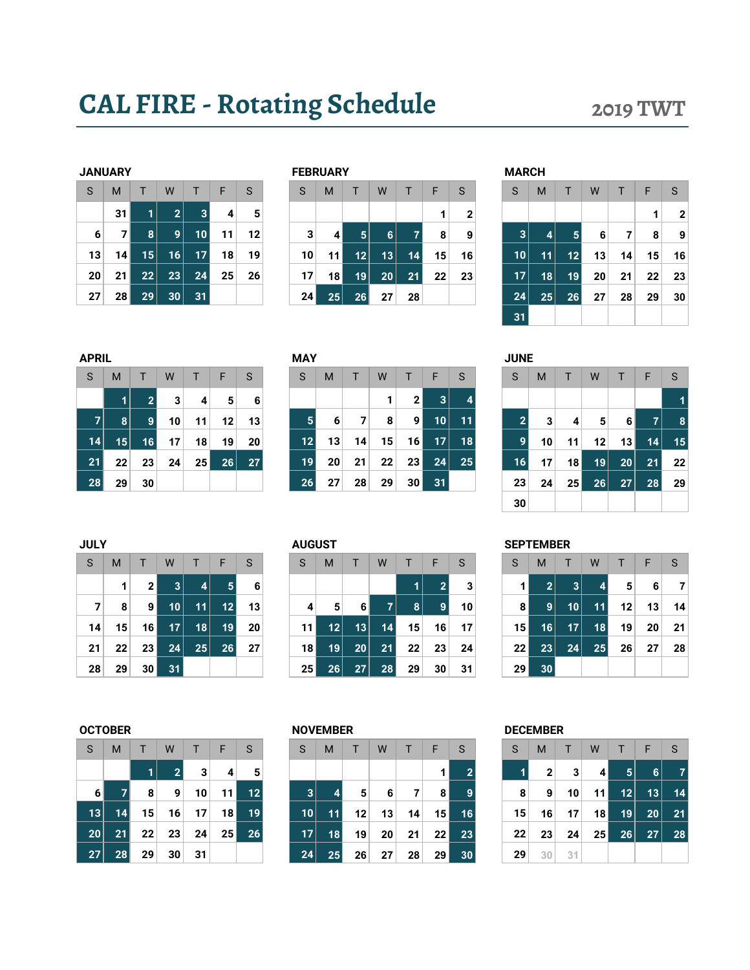## CAL FIRE - Rotating Schedule 2019 TWT

| JANUAKY |    |              |                 |              |    |                |
|---------|----|--------------|-----------------|--------------|----|----------------|
| S       | M  | $\mathsf{T}$ | W               | $\mathsf{T}$ | F  | S              |
|         | 31 | 1            | $\overline{2}$  | 3            | 4  |                |
| 6       | 7  | 8            | 9               | 10           | 11 | 12             |
| 13      | 14 | 15           | 16              | 17           | 18 | 19             |
| 20      | 21 | 22           | $2\overline{3}$ | 24           | 25 | 2 <sub>0</sub> |
| 27      | 28 | 29           | 30              | 31           |    |                |

|    | <b>JANUARY</b>  |    |    |    |    |              |   | <b>FEBRUARY</b> |                 |                |    |    |    |    | <b>MARCH</b> |    |                   |    |                 |    |    |
|----|-----------------|----|----|----|----|--------------|---|-----------------|-----------------|----------------|----|----|----|----|--------------|----|-------------------|----|-----------------|----|----|
| S  | M               |    | W  |    | F  | <sub>S</sub> | S |                 | M               |                | W  |    |    | S  | S            | M  |                   | W  |                 | F  | S  |
|    | 31              | и  | 2  | 3  | 4  | 5            |   |                 |                 |                |    |    | и  | 2  |              |    |                   |    |                 |    | 2  |
| 6  |                 | 8  | 9. | 10 | 11 | 12           |   | 3               | 4               | 5 <sup>1</sup> | 6  |    | 8  | 9  | 3            | 41 | 5                 | 6  |                 | 8  | 9  |
| 13 | 14 <sub>1</sub> | 15 | 16 | 17 | 18 | 19           |   | 10              | 11              | 12             | 13 | 14 | 15 | 16 | 10           | 11 | $12 \overline{ }$ | 13 | 14 <sub>1</sub> | 15 | 16 |
| 20 | 21              | 22 | 23 | 24 | 25 | 26           |   | 17              | 18 <sub>h</sub> | 19             | 20 | 21 | 22 | 23 | 17           | 18 | 19                | 20 | 21              | 22 | 23 |
| 27 | 28              | 29 | 30 | 31 |    |              |   | 24              | 25              | 26             | 27 | 28 |    |    | 24           | 25 | 26                | 27 | 28              | 29 | 30 |
|    |                 |    |    |    |    |              |   |                 |                 |                |    |    |    |    |              |    |                   |    |                 |    |    |

|   | NUARY           |    |    |    |    |    | <b>FEBRUARY</b> |                 |    |    |    |                 |    | <b>MARCH</b> |    |    |    |    |    |              |
|---|-----------------|----|----|----|----|----|-----------------|-----------------|----|----|----|-----------------|----|--------------|----|----|----|----|----|--------------|
|   | M               |    | W  |    | F  | S  | S               | M               |    | W  |    | F               | S  | S            | M  |    | W  | Ъ  | F  | S            |
|   | 31              |    | 2  | 3  | 4  | 5  |                 |                 |    |    |    | ٠               | 2  |              |    |    |    |    | 1  | $\mathbf{2}$ |
| 6 |                 | 8  | 9  | 10 | 11 | 12 | 3               | $\vert$         | 5. | 6  |    | 8               | 9  | 3            | 4  | 5  | 6  |    | 8  | 9            |
| 3 | 14              | 15 | 16 | 17 | 18 | 19 | 10 <sup>1</sup> | 11 <sup>1</sup> | 12 | 13 | 14 | 15 <sub>1</sub> | 16 | 10           | 11 | 12 | 13 | 14 | 15 | 16           |
| 0 | 21 <sup>1</sup> | 22 | 23 | 24 | 25 | 26 | 17              | 18 <sup>1</sup> | 19 | 20 | 21 | 22              | 23 | 17           | 18 | 19 | 20 | 21 | 22 | 23           |
| 7 | 28 <sub>1</sub> | 29 | 30 | 31 |    |    | 24              | 25              | 26 | 27 | 28 |                 |    | 24           | 25 | 26 | 27 | 28 | 29 | 30           |
|   |                 |    |    |    |    |    |                 |                 |    |    |    |                 |    | 31           |    |    |    |    |    |              |

| <b>APRIL</b>   |    |                |    |        |    |    |
|----------------|----|----------------|----|--------|----|----|
| S              | M  | $\mathsf{T}$   | W  | $\top$ | F  | S  |
|                | 1  | $\overline{2}$ | 3  | 4      | 5  | 6  |
| $\overline{7}$ | 8  | 9              | 10 | 11     | 12 | 13 |
| 14             | 15 | 16             | 17 | 18     | 19 | 20 |
| 21             | 22 | 23             | 24 | 25     | 26 | 27 |
| 28             | 29 | 30             |    |        |    |    |

| PRIL |    |                 |    |    |    |    | MAY             |    |                 |    |                |                 |              | JUNE             |    |    |    |    |    |    |
|------|----|-----------------|----|----|----|----|-----------------|----|-----------------|----|----------------|-----------------|--------------|------------------|----|----|----|----|----|----|
| S.   | M  |                 | W  |    | F  | S  | S               | M  |                 | W  |                | F               | <sub>S</sub> | S                | M  |    | W  |    | F  | S  |
|      | 1  |                 | 3  | 4  | 5  | 6  |                 |    |                 |    | 2 <sub>1</sub> | 3 <sup>1</sup>  |              |                  |    |    |    |    |    |    |
|      | 8  |                 | 10 | 11 | 12 | 13 | $5\phantom{.0}$ | 6  | 7               | 8  | 9              | 10              | 11           |                  | 3  | 4  | 5  | 6  |    | 8  |
| 14   | 15 | 16 <sup>1</sup> | 17 | 18 | 19 | 20 | 12              | 13 | 14 <sub>1</sub> | 15 | 16             | 17 <sup>2</sup> | 18           | 9                | 10 | 11 | 12 | 13 | 14 | 15 |
| 21   | 22 | 23              | 24 | 25 | 26 | 27 | 19              | 20 | 21              | 22 | 23             | 24              | 25           | $\vert 16 \vert$ | 17 | 18 | 19 | 20 | 21 | 22 |
| 28   | 29 | 30              |    |    |    |    | 26              | 27 | 28              | 29 | 30             | 31              |              | 23               | 24 | 25 | 26 | 27 | 28 | 29 |

| APRIL          |                 |                |    |    |    |    | <b>MAY</b>        |                 |    |                 |                |                |    |   | <b>JUNE</b>    |          |    |    |    |    |
|----------------|-----------------|----------------|----|----|----|----|-------------------|-----------------|----|-----------------|----------------|----------------|----|---|----------------|----------|----|----|----|----|
| S              | M               |                | W  |    | F  | S  | S                 | M               |    | W               |                | F              | S  | S | M              |          | W  |    | F  | S  |
|                | 1.              | $\overline{2}$ | 3  | 4  | 5  | 6  |                   |                 |    | 1               | 2 <sub>1</sub> | 3 <sup>2</sup> |    |   |                |          |    |    |    |    |
| 7 <sup>1</sup> | 8               | 9              | 10 | 11 | 12 | 13 | 5                 | 6               | 7  | 8               | 9 <sup>1</sup> | 10             | 11 |   | $\overline{2}$ | 3<br>4   | 5  | 6  | 7  |    |
| 14             | 15 <sup>2</sup> | 16             | 17 | 18 | 19 | 20 | $12 \overline{ }$ | 13 <sub>1</sub> | 14 | 15 <sub>1</sub> | 16 I           | 17             | 18 |   | 9              | 10<br>11 | 12 | 13 | 14 | 15 |
| 21             | 22              | 23             | 24 | 25 | 26 | 27 | 19                | 20              | 21 | 22              | 23             | 24             | 25 |   | 17<br>16       | 18       | 19 | 20 | 21 | 22 |
| 28             | 29              | 30             |    |    |    |    | 26                | 27              | 28 | 29              | 30             | 31             |    |   | 23<br>24       | 25       | 26 | 27 | 28 | 29 |
|                |                 |                |    |    |    |    |                   |                 |    |                 |                |                |    |   | 30             |          |    |    |    |    |

| S  | M               | т               | W               | T.        | F              | S. | S               | M                 | Т  | W         |                | F              | <sub>S</sub> | S               | M              | т               | W              | т. | F  | -S  |
|----|-----------------|-----------------|-----------------|-----------|----------------|----|-----------------|-------------------|----|-----------|----------------|----------------|--------------|-----------------|----------------|-----------------|----------------|----|----|-----|
|    |                 | 2 <sup>1</sup>  | 3 <sup>1</sup>  | $\vert$ 4 | 5 <sup>1</sup> | 6  |                 |                   |    |           |                | $\overline{2}$ | 3            |                 | 2 <sup>1</sup> | 3 <sup>1</sup>  | $\overline{4}$ | 5  | 6  |     |
| 7  | 8               | 9               | 10 <sub>1</sub> | 11        | 12             | 13 | $\overline{4}$  | 5 <sup>1</sup>    | 6  | <b>71</b> | 8 <sup>1</sup> | 9              | 10           | 8               | 9              | 10 <sup>1</sup> | 11             | 12 | 13 | 14  |
| 14 | 15 <sup>1</sup> | 16              | 17 <sup>1</sup> | 18        | 19             | 20 | 11 <sup>1</sup> | $12 \overline{ }$ | 13 | 14        | 15             | 16             | 17           | 15 <sub>h</sub> | 16             | 17 <sup>1</sup> | 18             | 19 | 20 | -21 |
| 21 | 22              | 23              | 24              | 25        | 26             | 27 | 18 <sup>1</sup> | 19                | 20 | 21        | 22             | 23             | 24           | 22 <sub>1</sub> | 23             | 24              | 25             | 26 | 27 | 28  |
| 28 | 29              | 30 <sub>1</sub> | 31              |           |                |    | 25              | 26                | 27 | 28        | 29             | 30             | 31           | 29              | 30             |                 |                |    |    |     |

| <b>JULY</b> |    |                 |    |                 |            |    | <b>AUGUST</b>   |                 |    |              |    |    |    | <b>SEPTEMBER</b> |              |              |    |    |    |    |
|-------------|----|-----------------|----|-----------------|------------|----|-----------------|-----------------|----|--------------|----|----|----|------------------|--------------|--------------|----|----|----|----|
| S           | M  |                 | W  |                 | ⊢          | S  | S               | м               |    | W            |    | F  | S  | S                | M            |              | W  |    | F  | S  |
|             |    | ົ               | 3  | 4               | $\sqrt{5}$ | 6  |                 |                 |    |              |    |    | 3  |                  | $\mathbf{2}$ | 3            | 4  | 5  | 6  |    |
| 7           | 8  | 9               | 10 | 11              | 12         | 13 | 4               | 5               | 6  |              | 8  | 9  | 10 | 8                | 9            | $10^{\circ}$ | 11 | 12 | 13 | 14 |
| 14          | 15 | 16 I            | 17 | 18 <sub>1</sub> | 19         | 20 | 11 <sup>1</sup> | 12 <sup>°</sup> | 13 | 14.          | 15 | 16 | 17 | 15               | 16           | 17           | 18 | 19 | 20 | 21 |
| 21          | 22 | 23 <sub>1</sub> | 24 | 25              | 26         | 27 | 18              | 19              | 20 | 21           | 22 | 23 | 24 | 22 <sub>1</sub>  | 23           | 24           | 25 | 26 | 27 | 28 |
| 28          | 29 | 30 I            | 31 |                 |            |    | 25 <sub>1</sub> | 26              | 27 | $28^{\circ}$ | 29 | 30 | 31 | 29               | 30           |              |    |    |    |    |

| S  | M  | T  | W              | $\mathsf{T}$ | $-F$ | S  |
|----|----|----|----------------|--------------|------|----|
|    |    | 1  | $\overline{2}$ | 3            | 4    | 5  |
| 6  | 7  | 8  | 9              | 10           | 11   | 12 |
| 13 | 14 | 15 | 16             | 17           | 18   | 19 |
| 20 | 21 | 22 | 23             | 24           | 25   | 26 |
| 27 | 28 | 29 | 30             | 31           |      |    |

| <b>DECEMBER</b><br><b>OCTOBER</b><br><b>NOVEMBER</b> |  |
|------------------------------------------------------|--|
|------------------------------------------------------|--|

| S.             | M  | T.              | W               | T.              | -F              | - S | <sub>S</sub>    | M       | Æ               | W               | T. | F.              | <sub>S</sub> | S               | M              | T.              | W               | NT⊾             | F               | -S |
|----------------|----|-----------------|-----------------|-----------------|-----------------|-----|-----------------|---------|-----------------|-----------------|----|-----------------|--------------|-----------------|----------------|-----------------|-----------------|-----------------|-----------------|----|
|                |    |                 | $\overline{2}$  | 3               | $\vert$         | 5   |                 |         |                 |                 |    |                 |              |                 | $\overline{2}$ | 3 <sub>l</sub>  | 41              | 5 <sup>1</sup>  | 6               | 7  |
| 6 <sup>1</sup> |    | 8               | 9               | 10 <sub>1</sub> | 11              | 12  | 3               | $\vert$ | 5 <sup>1</sup>  | $6 \mid$        | 7  | 8 <sup>1</sup>  |              | 8               | 9              | 10 <sup>1</sup> | 11 I            | 12              | 13              | 14 |
| 13             | 14 | 15 <sup>1</sup> | 16              | 17 <sup>1</sup> | 18 <sup>1</sup> | 19  | 10 <sup>1</sup> | 11      | 12              | 13              | 14 | 15 <sup>1</sup> | 16           | 15 <sup>1</sup> | 16             | 17 <sup>1</sup> | 18 <sup>1</sup> | 19 <sup>1</sup> | 20 <sup>1</sup> | 21 |
| 20             | 21 | 22              | 23              | 24              | 25 <sub>1</sub> | 26  | 17 <sup>1</sup> | 18      | 19 <sup>1</sup> | 20 <sub>1</sub> | 21 | 22 <sub>1</sub> | 23           | 22              | 23             | 24              | 25 <sub>1</sub> | 26              | 27              | 28 |
| 27             | 28 | 29 <sub>1</sub> | 30 <sup>2</sup> | 31              |                 |     | 24              | 25      | 26              | 27              | 28 | 29              | 30           | 29              | 30             | 31              |                 |                 |                 |    |

| S  | M            | T  | W  | T  | F  | S  |
|----|--------------|----|----|----|----|----|
| 1  | $\mathbf{2}$ | 3  | 4  | 5  | 6  |    |
| 8  | 9            | 10 | 11 | 12 | 13 | 14 |
| 15 | 16           | 17 | 18 | 19 | 20 | 21 |
| 22 | 23           | 24 | 25 | 26 | 27 | 28 |
| 29 | 30           | 31 |    |    |    |    |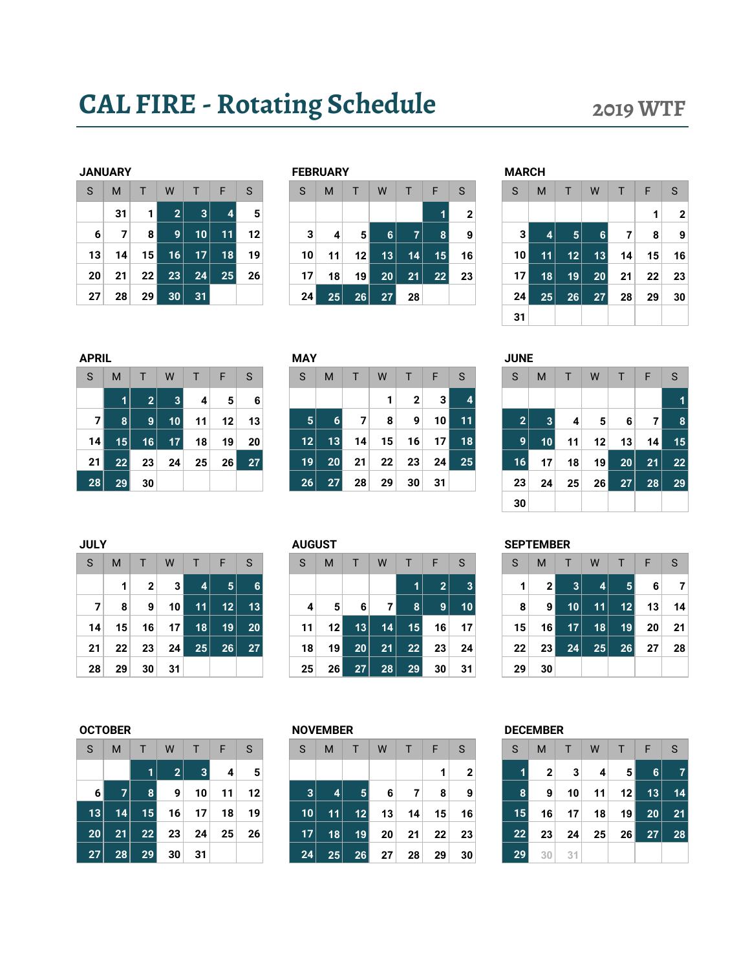## CAL FIRE - Rotating Schedule 2019 WTF

|    | JANUAKY |              |                |              |    |    |
|----|---------|--------------|----------------|--------------|----|----|
| S  | M       | $\mathsf{T}$ | W              | $\mathsf{T}$ | F  | S  |
|    | 31      | 1            | $\overline{2}$ | 3            | 4  | 5  |
| 6  | 7       | 8            | 9              | 10           | 11 | 12 |
| 13 | 14      | 15           | 16             | 17           | 18 | 19 |
| 20 | 21      | 22           | 23             | 24           | 25 | 26 |
| 27 | 28      | 29           | 30             | 31           |    |    |

|    | <b>JANUARY</b> |                 |              |                 |    |    |   | <b>FEBRUARY</b>       |    |    |    |    |              | <b>MARCH</b>    |                 |                 |    |    |    |    |
|----|----------------|-----------------|--------------|-----------------|----|----|---|-----------------------|----|----|----|----|--------------|-----------------|-----------------|-----------------|----|----|----|----|
| S  | M              |                 | W            |                 | F  | S  | S | M                     |    | W  |    | н  | S            | S               | M               |                 | W  |    | F  | S  |
|    | 31             |                 | $\mathbf{2}$ | $\vert 3 \vert$ | 4  | 5  |   |                       |    |    |    |    | $\mathbf{2}$ |                 |                 |                 |    |    |    | 2  |
| 6  |                | 8               | 9            | 10 <sup>1</sup> | 11 | 12 |   | 3<br>4                | 51 | 6  | 7  |    | 9            | 3               | 4               | 5 <sub>5</sub>  | 6. |    | 8  | 9  |
| 13 | 14.            | 15 <sub>h</sub> | 16           | 17'             | 18 | 19 |   | 10<br>11              | 12 | 13 | 14 | 15 | 16           | 10 <sub>1</sub> | 11              | 12 <sup>1</sup> | 13 | 14 | 15 | 16 |
| 20 | 21             | 22              | 23           | 24              | 25 | 26 |   | 17<br>18              | 19 | 20 | 21 | 22 | 23           | 17              | 18              | 19              | 20 | 21 | 22 | 23 |
| 27 | 28             | 29 <sub>1</sub> | 30           | 31              |    |    |   | 24 <sub>l</sub><br>25 | 26 | 27 | 28 |    |              | 24              | 25 <sub>1</sub> | 26              | 27 | 28 | 29 | 30 |
|    |                |                 |              |                 |    |    |   |                       |    |    |    |    |              |                 |                 |                 |    |    |    |    |

|   | NUARY |                 |    |                 |    |    | <b>FEBRUARY</b> |    |                 |    |    |    |              | <b>MARCH</b>    |    |    |    |    |    |              |
|---|-------|-----------------|----|-----------------|----|----|-----------------|----|-----------------|----|----|----|--------------|-----------------|----|----|----|----|----|--------------|
|   | M     |                 | W  |                 | F  | S  | S               | M  |                 | W  |    | F  | S            | S               | M  |    | W  |    | F  | S            |
|   | 31    |                 | 2  | 3               |    | 5  |                 |    |                 |    |    |    | $\mathbf{2}$ |                 |    |    |    |    | 1  | $\mathbf{2}$ |
| 6 | 7     | 8               | 9  | 10 <sup>°</sup> | 11 | 12 | 3               | 4  | 5               | 6  | 7  | 8  | 9            |                 | 4  | 5  | 6  | 7  | 8  | 9            |
| 3 | 14    | 15 <sup>1</sup> | 16 | 17              | 18 | 19 | 10              | 11 | 12 <sub>1</sub> | 13 | 14 | 15 | 16           | 10              | 11 | 12 | 13 | 14 | 15 | 16           |
| 0 | 21    | 22              | 23 | 24              | 25 | 26 | 17              | 18 | 19              | 20 | 21 | 22 | 23           | 17              | 18 | 19 | 20 | 21 | 22 | 23           |
| 7 | 28    | 29              | 30 | 31              |    |    | 24              | 25 | 26              | 27 | 28 |    |              | 24 <sub>1</sub> | 25 | 26 | 27 | 28 | 29 | 30           |
|   |       |                 |    |                 |    |    |                 |    |                 |    |    |    |              | 31              |    |    |    |    |    |              |

| <b>APRIL</b>   |    |              |                 |    |    |    | <b>MAY</b> |    |    |    |    |    |            | <b>JUNE</b>  |    |    |                 |                 |    |
|----------------|----|--------------|-----------------|----|----|----|------------|----|----|----|----|----|------------|--------------|----|----|-----------------|-----------------|----|
| S              | M  |              | W               |    | F  | S  | S          | M  |    | W  |    | F  | S          | S            | M  |    | W               |                 |    |
|                |    | $\mathbf{2}$ | 3               | 4  | 5  | 6  |            |    |    | 1  | 2  | 31 |            |              |    |    |                 |                 |    |
| 7 <sup>1</sup> | 8  | 9            | 10 <sub>1</sub> | 11 | 12 | 13 | 5.         | 6  | 7  | 8  | 9  | 10 | <b>117</b> | $\mathbf{2}$ | 3  | 4  | 5               | 6               |    |
| 14             | 15 | 16           | 17              | 18 | 19 | 20 | 12         | 13 | 14 | 15 | 16 | 17 | 18         | 9            | 10 | 11 | 12 <sub>1</sub> | 13              | 14 |
| 21             | 22 | 23           | 24              | 25 | 26 | 27 | 19         | 20 | 21 | 22 | 23 | 24 | 25         | 16           | 17 | 18 | 19              | 20 <sub>1</sub> | 21 |
| 28             | 29 | 30           |                 |    |    |    | 26         | 27 | 28 | 29 | 30 | 31 |            | 23           | 24 | 25 | 26              | 27              | 28 |

| PRIL           |    |                |                 |    |    |    | MAY             |                 |    |    |    |      |    | JUNE           |    |    |                 |                 |    |   |
|----------------|----|----------------|-----------------|----|----|----|-----------------|-----------------|----|----|----|------|----|----------------|----|----|-----------------|-----------------|----|---|
| S.             | M  |                | W               |    | F  | S  | S               | M               |    | W  |    | F    | S  | S              | M  |    | W               |                 | ⊢  | S |
|                |    | 2              | 3               | 4  | 5  | 6  |                 |                 |    |    | 2  | 31   |    |                |    |    |                 |                 |    |   |
| 7 <sup>1</sup> | 8  | 9 <sup>1</sup> | 10              | 11 | 12 | 13 | 5               | 6               |    | 8  | 9  | ا 10 | 11 | $\overline{2}$ | 3  | 4  | 5               | 6               | 71 |   |
| 14             | 15 | 16             | 17 <sup>1</sup> | 18 | 19 | 20 | 12 <sub>1</sub> | 13              | 14 | 15 | 16 | 17   | 18 | 9              | 10 | 11 | 12 <sub>1</sub> | 13              | 14 |   |
| 21             | 22 | 23             | 24              | 25 | 26 | 27 | 19              | 20 <sub>1</sub> | 21 | 22 | 23 | 24   | 25 | 16             | 17 | 18 | 19              | 20 <sub>1</sub> | 21 |   |
| 28             | 29 | 30             |                 |    |    |    | 26              | 27              | 28 | 29 | 30 | 31   |    | 23             | 24 | 25 | 26              | 27              | 28 |   |

| PRIL |    |                       |              |    |    |    | <b>MAY</b>      |    |    |                 |                 |    |    | <b>JUNE</b>           |    |    |                |                 |    |    |
|------|----|-----------------------|--------------|----|----|----|-----------------|----|----|-----------------|-----------------|----|----|-----------------------|----|----|----------------|-----------------|----|----|
|      | M  |                       | W            |    | F  | S  | S               | M  |    | W               |                 | F  | S  | S                     | M  |    | W              |                 | F  | S  |
|      | ٧I | $\mathbf{2}^{\prime}$ | $\mathbf{3}$ | 4  | 5  | 6  |                 |    |    |                 | $\mathbf{2}$    | 31 |    |                       |    |    |                |                 |    |    |
| 7    | 8  | 9                     | 10           | 11 | 12 | 13 | 5.              | 6  | 7  | 8               | 9               | 10 | 11 | $\mathbf{2}^{\prime}$ | 3  | 4  | 5 <sup>1</sup> | 6               |    | 8  |
| 14   | 15 | 16                    | 17           | 18 | 19 | 20 | 12              | 13 | 14 | 15 <sub>1</sub> | 16              | 17 | 18 | 9                     | 10 | 11 | 12             | 13              | 14 | 15 |
| ا 21 | 22 | 23                    | 24           | 25 | 26 | 27 | 19 <sub>1</sub> | 20 | 21 | 22              | 23              | 24 | 25 | 16                    | 17 | 18 | 19             | 20 <sub>1</sub> | 21 | 22 |
| 28   | 29 | 30                    |              |    |    |    | 26              | 27 | 28 | 29              | 30 <sup>2</sup> | 31 |    | 23                    | 24 | 25 | 26             | 27              | 28 | 29 |
|      |    |                       |              |    |    |    |                 |    |    |                 |                 |    |    | 30                    |    |    |                |                 |    |    |

| <b>JULY</b> |    |    |                |    |    |    |   |    | <b>AUGUST</b>   |                 |    |    |              |    | <b>SEPTEMBER</b> |    |   |
|-------------|----|----|----------------|----|----|----|---|----|-----------------|-----------------|----|----|--------------|----|------------------|----|---|
| S           | M  |    | W              |    | F  | S  | S |    | M               |                 | W  |    | F            | S  | S                | М  |   |
|             | 1  | 2  | 3 <sup>1</sup> | 4  | 5. | 6  |   |    |                 |                 |    | 11 | $\mathbf{2}$ | 3  | 1                | ∍  |   |
| 7           | 8  | 9  | 10             | 11 | 12 | 13 |   | 4  | 5               | 6               |    | 8  | 9            | 10 | 8                | 9  |   |
| 14          | 15 | 16 | 17             | 18 | 19 | 20 |   | 11 | 12 <sub>1</sub> | 13              | 14 | 15 | 16           | 17 | 15               | 16 |   |
| 21          | 22 | 23 | 24             | 25 | 26 | 27 |   | 18 | 19              | 20 <sub>1</sub> | 21 | 22 | 23           | 24 | 22               | 23 | 2 |
| 28          | 29 | 30 | 31             |    |    |    |   | 25 | 26              | 27              | 28 | 29 | 30           | 31 | 29               | 30 |   |

| S. | M               |                 | W               | т       | -F.             | <sub>S</sub>    | S  | M               |                 | W  | T.             | F.              | S               | S               | M               | т.              | W         |                | F               |      |
|----|-----------------|-----------------|-----------------|---------|-----------------|-----------------|----|-----------------|-----------------|----|----------------|-----------------|-----------------|-----------------|-----------------|-----------------|-----------|----------------|-----------------|------|
|    |                 | 2 <sup>1</sup>  | 3 <sup>1</sup>  | $\vert$ | 5 <sup>1</sup>  |                 |    |                 |                 |    |                | 2               |                 |                 | 2 <sup>1</sup>  | 3               | $\vert$ 4 | 5 <sup>1</sup> | -6              |      |
|    | 8               | 9 <sup>1</sup>  | 10 <sup>1</sup> | 11      | 12              | 13              | 4  | 5               | $6 \mid$        | 7  | 8 <sup>1</sup> | 9               | 10 <sup>1</sup> | 8               | 91              | 10 <sup>1</sup> | 11        | 12             | 13              | - 14 |
| 14 | 15 <sup>1</sup> | 16 <sup>1</sup> | 17 <sup>1</sup> | 18      | 19 <sup>1</sup> | 20 <sup>1</sup> | 11 | 12 <sub>1</sub> | 13              | 14 | 15             | 16              | 17              | 15 <sup>1</sup> | 16              | 17 <sup>1</sup> | 18        | 19             | 20 <sub>1</sub> | - 21 |
| 21 | 22              | 23 <sup>1</sup> | 24              | 25      | 26              | 27              | 18 | 19 <sup>°</sup> | 20 <sub>1</sub> | 21 | 22             | 23 <sub>1</sub> | 24              | $22 \,$         | 23 <sub>1</sub> | 24              | 25        | 26             | 27 <sup>2</sup> | 28   |
| 28 | 29              | 30 <sup>1</sup> | 31              |         |                 |                 | 25 | 26 <sub>1</sub> | 27              | 28 | 29             | 30              | 31              | 29              | 30              |                 |           |                |                 |      |

| S  | M  | T  | W              | T  | ∣ F | S  |
|----|----|----|----------------|----|-----|----|
|    |    | 1  | $\overline{2}$ | 3  | 4   | 5  |
| 6  |    | 8  | 9              | 10 | 11  | 12 |
| 13 | 14 | 15 | 16             | 17 | 18  | 19 |
| 20 | 21 | 22 | 23             | 24 | 25  | 26 |
| 27 | 28 | 29 | 30             | 31 |     |    |

| S.              | M  | Τ.              | W  | T.              | -F              | <sub>S</sub> | S               | M               | т               | W  | T. | F               | S  | S               | M               | T.              | W  | T              | F               | -S |
|-----------------|----|-----------------|----|-----------------|-----------------|--------------|-----------------|-----------------|-----------------|----|----|-----------------|----|-----------------|-----------------|-----------------|----|----------------|-----------------|----|
|                 |    |                 | 2  | $\vert$ 3       | $\vert$         | 5            |                 |                 |                 |    |    |                 | 2  |                 | $\mathbf{2}$    | 3 <sup>1</sup>  | 4  | 5 <sup>1</sup> | <b>6</b>        | 7  |
| $6 \mid$        |    | 8 <sup>1</sup>  | 9  | 10 <sup>1</sup> | 11              | 12           | 3               | $\vert$         | 5 <sup>1</sup>  | 6  | 7  | 8               | 9  | $\vert 8 \vert$ | 9               | 10 <sup>1</sup> | 11 | 12             | 13              | 14 |
| 13              | 14 | 15 <sup>1</sup> | 16 | 17 <sup>1</sup> | 18              | 19           | 10              | 11              | 12 <sub>1</sub> | 13 | 14 | 15 <sup>2</sup> | 16 | 15              | 16              | 17 <sup>1</sup> | 18 | 19             | 20 <sub>1</sub> | 21 |
| 20 <sup>2</sup> | 21 | 22              | 23 | 24              | 25 <sub>1</sub> | 26           | 17 <sup>1</sup> | 18 <sup>1</sup> | 19 <sup>1</sup> | 20 | 21 | 22 <sub>1</sub> | 23 | 22              | 23              | 24              | 25 | 26             | 27              | 28 |
| 27              | 28 | 29 <sup>°</sup> | 30 | 31              |                 |              | 24              | 25              | 26 <sup>1</sup> | 27 | 28 | 29              | 30 | 29              | 30 <sub>1</sub> | 31              |    |                |                 |    |

| S  | M            | $\top$          | W  |    | $T \parallel F$ | -S |
|----|--------------|-----------------|----|----|-----------------|----|
| 1  | $\mathbf{2}$ | 3               | 4  | 5  | 6               |    |
| 8  | 9            | 10              | 11 | 12 | 13              | 14 |
| 15 | 16           | 17 <sup>1</sup> | 18 | 19 | 20              | 21 |
| 22 | 23           | 24              | 25 | 26 | 27              | 28 |
| 29 | 30           | $-31$           |    |    |                 |    |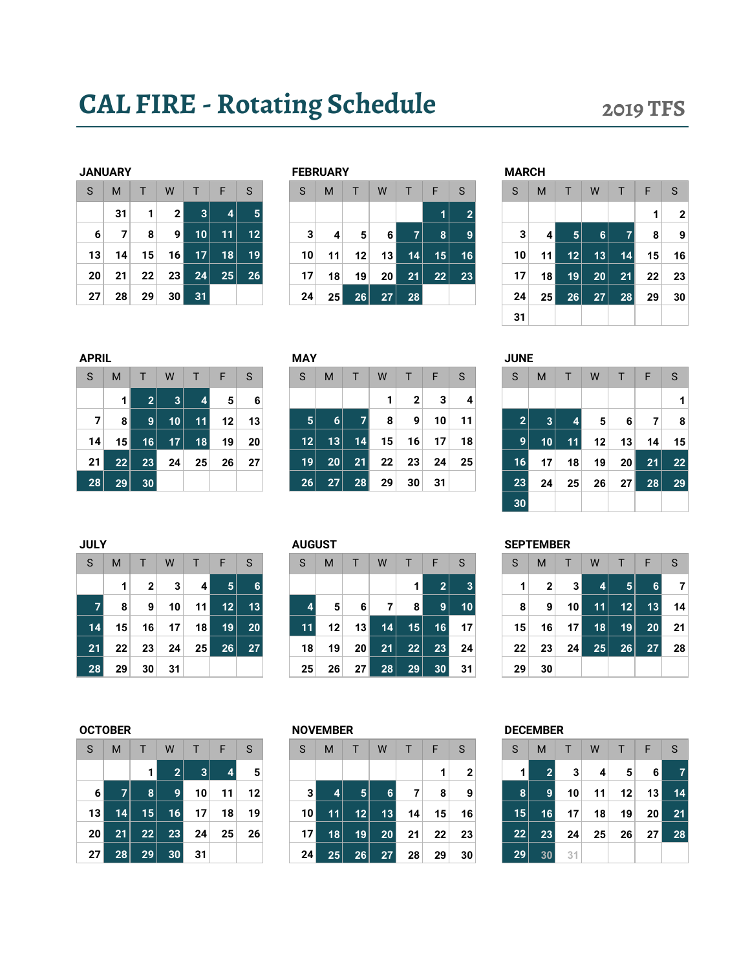## CAL FIRE - Rotating Schedule 2019 TFS

|    | JANUARY |    |             |    |    |                         |
|----|---------|----|-------------|----|----|-------------------------|
| S  | M       | T  | W           | T  | F  | S                       |
|    | 31      | 1  | $\mathbf 2$ | 3  | 4  |                         |
| 6  | 7       | 8  | 9           | 10 | 11 | 1                       |
| 13 | 14      | 15 | 16          | 17 | 18 | 1                       |
| 20 | 21      | 22 | 23          | 24 | 25 | $\overline{\mathbf{2}}$ |
| 27 | 28      | 29 | 30          | 31 |    |                         |

|    | <b>JANUARY</b> |    |                 |                 |         |              |              | <b>FEBRUARY</b> |    |                 |    |                |    | <b>MARCH</b> |                 |    |    |    |    |    |
|----|----------------|----|-----------------|-----------------|---------|--------------|--------------|-----------------|----|-----------------|----|----------------|----|--------------|-----------------|----|----|----|----|----|
| S  | M              |    | W               |                 | F       | <sub>S</sub> | <sub>S</sub> | M               |    | W               |    | F              | S  | S            | M               |    | W  |    | F  | S  |
|    | 31             | 1  | 2 <sup>1</sup>  | $\overline{3}$  | $\vert$ | $\sqrt{5}$   |              |                 |    |                 |    | 1              | ີ  |              |                 |    |    |    |    | 2  |
| 6  |                | 8  | 91              | 10 <sub>l</sub> | 11      | 12           | 3            | 4               | 5  | 6               | 7  | 8 <sup>1</sup> | 9  | 3            | 41              | 5  | 6  |    | 8  | 9  |
| 13 | 14.            | 15 | 16              | 17 <sup>2</sup> | 18      | 19           | 10           | 11              | 12 | 13              | 14 | 15             | 16 | 10           | 11 <sup>h</sup> | 12 | 13 | 14 | 15 | 16 |
| 20 | 21             | 22 | 23 <sub>1</sub> | 24              | 25      | 26           | 17           | 18              | 19 | 20 <sub>1</sub> | 21 | 22             | 23 | 17           | 18 <sup>1</sup> | 19 | 20 | 21 | 22 | 23 |
| 27 | 28             | 29 | 30 I            | 31              |         |              | 24           | 25              | 26 | 27              | 28 |                |    | 24           | 25 <sub>1</sub> | 26 | 27 | 28 | 29 | 30 |
|    |                |    |                 |                 |         |              |              |                 |    |                 |    |                |    |              |                 |    |    |    |    |    |

|   | NUARY |    |                |    |                 |                   |                 | <b>FEBRUARY</b> |    |    |    |    |    | <b>MARCH</b> |                 |    |    |    |    |              |
|---|-------|----|----------------|----|-----------------|-------------------|-----------------|-----------------|----|----|----|----|----|--------------|-----------------|----|----|----|----|--------------|
|   | M     |    | W              |    | Ð               | S                 | S               | M               |    | W  |    | F  | S  | S            | M               |    | W  |    | F  | S            |
|   | 31    | 1  | 2 <sub>1</sub> | 3  |                 | $\overline{5}$    |                 |                 |    |    |    |    | 2  |              |                 |    |    |    | 1  | $\mathbf{2}$ |
| 6 | 7     | 8  | 9 <sup>1</sup> | 10 | 11              | $12 \overline{ }$ | 3               | 4               | 5  | 6  | 7  | 8  | 9  | 3            | 4               | 5  | 6  |    | 8  | 9            |
| 3 | 14    | 15 | 16             | 17 | 18              | 19                | 10 <sup>1</sup> | 11              | 12 | 13 | 14 | 15 | 16 | 10           | 11              | 12 | 13 | 14 | 15 | 16           |
| 0 | 21    | 22 | 23             | 24 | 25 <sub>1</sub> | 26                | 17              | 18              | 19 | 20 | 21 | 22 | 23 | 17           | 18              | 19 | 20 | 21 | 22 | 23           |
| 7 | 28    | 29 | 30             | 31 |                 |                   | 24              | 25              | 26 | 27 | 28 |    |    | 24           | 25 <sub>1</sub> | 26 | 27 | 28 | 29 | 30           |
|   |       |    |                |    |                 |                   |                 |                 |    |    |    |    |    | 31           |                 |    |    |    |    |              |

| APRIL |    |                |    |              |    |    |
|-------|----|----------------|----|--------------|----|----|
| S     | M  | т              | W  | $\mathsf{T}$ | F  | S  |
|       | 1  | $\overline{2}$ | 3  | 4            | 5  | 6  |
| 7     | 8  | 9              | 10 | 11           | 12 | 13 |
| 14    | 15 | 16             | 17 | 18           | 19 | 20 |
| 21    | 22 | 23             | 24 | 25           | 26 | 27 |
| 28    | 29 | 30             |    |              |    |    |

| APRIL |                 |                 |                 |    |                |                 | <b>MAY</b>     |                |    |    |              |    |    | <b>JUNE</b>    |                 |    |    |    |    |   |
|-------|-----------------|-----------------|-----------------|----|----------------|-----------------|----------------|----------------|----|----|--------------|----|----|----------------|-----------------|----|----|----|----|---|
| S     | M               |                 | W               |    | F              | S               | S              | M              |    | W  |              | F  | S  | S              | M               |    | W  |    | F  | S |
|       |                 | $\vert 2 \vert$ | 3               | 4  | 5 <sup>1</sup> | 6               |                |                |    | 1. | $\mathbf{2}$ | 3  | 4  |                |                 |    |    |    |    |   |
| 7     | 8               | 9               | 10 <sub>1</sub> | 11 | 12             | 13              | $5\phantom{1}$ | 6 <sup>1</sup> |    | 8  | 9            | 10 | 11 | $\overline{2}$ | 3               |    | 5  | 6  | 7  |   |
| 14    | 15 <sup>1</sup> | 16              | 17              | 18 | 19             | 20 <sub>1</sub> | 12             | 13             | 14 | 15 | 16           | 17 | 18 | 9              | 10 <sup>1</sup> | 11 | 12 | 13 | 14 |   |
| 21    | 22              | 23              | 24              | 25 | 26             | 27              | 19             | 20             | 21 | 22 | 23           | 24 | 25 | 16             | 17              | 18 | 19 | 20 | 21 |   |
| 28    | 29              | 30              |                 |    |                |                 | 26             | 27             | 28 | 29 | 30           | 31 |    | 23             | 24              | 25 | 26 | 27 | 28 |   |

|           | M               | T.              | W               |                 | F  | S  | S  | M               |    | W  |                 | F               | S  | S              | M              |    | W               |                 |    | <sub>S</sub> |
|-----------|-----------------|-----------------|-----------------|-----------------|----|----|----|-----------------|----|----|-----------------|-----------------|----|----------------|----------------|----|-----------------|-----------------|----|--------------|
|           |                 | $\overline{2}$  | 3               | 41              | 5  | 6  |    |                 |    |    | $\mathbf{2}$    | 3               | 4  |                |                |    |                 |                 |    |              |
|           | 8 <sup>1</sup>  | ∣9∣             | 10              | 11              | 12 | 13 | 5  | 6 <sup>1</sup>  |    | 8  | 9 <sup>1</sup>  | 10              | 11 | $\overline{2}$ | 3 <sup>1</sup> | 4  | 5               | 6               |    | -8           |
| 14        | 15 <sup>1</sup> | 16              | 17 <sup>1</sup> | 18 <sup>1</sup> | 19 | 20 | 12 | 13              | 14 | 15 | 16              | 17 <sup>1</sup> | 18 | 9              | 10             | 11 | 12              | 13              | 14 | 15           |
| 21        | 22              | 23              | 24              | 25              | 26 | 27 | 19 | 20              | 21 | 22 | 23              | 24              | 25 | 16             | 17             | 18 | 19 <sup>1</sup> | 20 <sub>l</sub> | 21 | 22           |
| 28 $\mid$ | 29              | 30 <sup>1</sup> |                 |                 |    |    | 26 | 27 <sup>1</sup> | 28 | 29 | 30 <sup>1</sup> | 31              |    | 23             | 24             | 25 | 26              | 27 <sup>1</sup> | 28 | 29           |
|           |                 |                 |                 |                 |    |    |    |                 |    |    |                 |                 |    | 30             |                |    |                 |                 |    |              |

| <b>JULY</b> |                 |              |    |                 |    |                 | <b>AUGUST</b> |    |                 |    |    |                |    |    | <b>SEPTEMBER</b> |   |
|-------------|-----------------|--------------|----|-----------------|----|-----------------|---------------|----|-----------------|----|----|----------------|----|----|------------------|---|
| S           | M               |              | W  |                 | F  | S               | S             | M  |                 | W  |    | F              | S  | S  | M                |   |
|             | 1               | $\mathbf{2}$ | 3  | 4               | 5  | 6               |               |    |                 |    |    | $\overline{2}$ | 3  |    | 2                |   |
| 7           | 8               | 9            | 10 | 11              | 12 | 13              | 4             | 5  | 6               | 7  | 8  | 9              | 10 | 8  | 9                | 4 |
| 14          | 15 <sub>1</sub> | 16           | 17 | 18 <sub>1</sub> | 19 | 20 <sup>1</sup> | 11            | 12 | 13              | 14 | 15 | 16             | 17 | 15 | 16               | 1 |
| 21          | 22              | 23           | 24 | 25              | 26 | 27              | 18            | 19 | 20 <sub>1</sub> | 21 | 22 | 23             | 24 | 22 | 23               | 2 |
| 28          | 29              | 30           | 31 |                 |    |                 | 25            | 26 | 27              | 28 | 29 | 30             | 31 | 29 | 30               |   |

| S. | M               | т               | W               |                 | -F             | S               | S  | M               |                 | W              | T.              | F               | <sub>S</sub>    | S               | M            | т               | W         |                | F               |    |
|----|-----------------|-----------------|-----------------|-----------------|----------------|-----------------|----|-----------------|-----------------|----------------|-----------------|-----------------|-----------------|-----------------|--------------|-----------------|-----------|----------------|-----------------|----|
|    |                 | 2 <sup>1</sup>  | 3               | 4               | 5 <sup>1</sup> | 6               |    |                 |                 |                |                 | $\mathbf{2}$    |                 |                 | $\mathbf{2}$ | 3               | $\vert$ 4 | 5 <sup>1</sup> | 6               | -7 |
|    | 8               | 9               | 10 <sup>1</sup> | 11              | 12             | 13              |    | 5               | 6               | $\overline{7}$ | 8 <sup>1</sup>  | 9               | 10 <sup>1</sup> | 8               | 9            | 10              | 11        | 12             | 13              | 14 |
| 14 | 15 <sup>1</sup> | 16 <sup>1</sup> | 17              | 18 <sup>1</sup> | 19             | 20 <sub>1</sub> | 11 | 12 <sup>1</sup> | 13              | 14             | 15 <sup>1</sup> | 16              | 17              | 15 <sup>1</sup> | 16           | 17 <sup>1</sup> | 18        | 19             | 20 <sub>1</sub> | 21 |
| 21 | 22              | 23              | 24              | 25 <sub>1</sub> | 26             | 27              | 18 | 19 <sup>1</sup> | 20 <sub>1</sub> | 21             | 22              | 23              | 24              | 22              | 23           | 24 <sup>1</sup> | 25        | 26             | 27              | 28 |
| 28 | 29              | 30              | 31              |                 |                |                 | 25 | 26              | 27 <sub>1</sub> | 28             | 29              | 30 <sup>2</sup> | 31              | 29              | 30           |                 |           |                |                 |    |

| S  | M  | T  | W              | $\mathsf{T}$ | F                       | <sub>S</sub> |
|----|----|----|----------------|--------------|-------------------------|--------------|
|    |    | 1  | $\overline{2}$ | 3            | $\overline{\mathbf{4}}$ | ŧ            |
| 6  | 7  | 8  | 9              | 10           | 11                      | 12           |
| 13 | 14 | 15 | 16             | 17           | 18                      | 19           |
| 20 | 21 | 22 | 23             | 24           | 25                      | 26           |
| 27 | 28 | 29 | 30             | 31           |                         |              |

| S.              | M  | T.              | W               | T.              | / F /           | <sub>S</sub> | S               | M               |                 | W        | T. | F               | S              | S               | M               | T.              | W  | $\top$          | F                | - S |
|-----------------|----|-----------------|-----------------|-----------------|-----------------|--------------|-----------------|-----------------|-----------------|----------|----|-----------------|----------------|-----------------|-----------------|-----------------|----|-----------------|------------------|-----|
|                 |    |                 | 2 <sup>1</sup>  | 3               |                 | -5           |                 |                 |                 |          |    |                 | $\overline{2}$ |                 | 2 <sup>1</sup>  | 3               | 4  | 5 <sup>1</sup>  | 6                |     |
| $6 \mid$        |    | 8               | 9               | 10 <sub>1</sub> | 11              | 12           |                 | 4               | 5 <sup>1</sup>  | <b>6</b> | 7  | 8               | 9              | 8               | 9 <sup>1</sup>  | 10 <sup>1</sup> | 11 | 12              | 13 <sup>  </sup> | 14  |
| 13              | 14 | 15 <sup>1</sup> | 16              | 17 <sup>1</sup> | 18              | 19           | 10 <sub>1</sub> | 11              | 12              | 13       | 14 | 15 <sup>1</sup> | 16             | 15 <sup>1</sup> | 16 <sup>1</sup> | 17 <sup>1</sup> | 18 | 19 <sup>°</sup> | <b>20</b> l      | 21  |
| 20 <sup>1</sup> | 21 | 22              | 23              | 24              | 25 <sub>1</sub> | 26           | 17              | 18 <sup>1</sup> | 19 <sup>1</sup> | 20       | 21 | 22              | 23             | 22              | 23              | 24 <sup>1</sup> | 25 | 26              | 27 <sub>1</sub>  | 28  |
| 27              | 28 | 29              | 30 <sub>1</sub> | 31              |                 |              | 24              | 25              | 26              | 27       | 28 | 29              | 30             | 29              | 30 <sub>1</sub> | 31              |    |                 |                  |     |

| S. | M              | $\mathsf{T}$ | W  | T  | - F | S  |
|----|----------------|--------------|----|----|-----|----|
| 1  | $\overline{2}$ | 3            | 4  | 5  | 6   |    |
| 8  | 9              | 10           | 11 | 12 | 13  | 14 |
| 15 | 16             | 17           | 18 | 19 | 20  | 21 |
| 22 | 23             | 24           | 25 | 26 | 27  | 28 |
| 29 | 30             | 31           |    |    |     |    |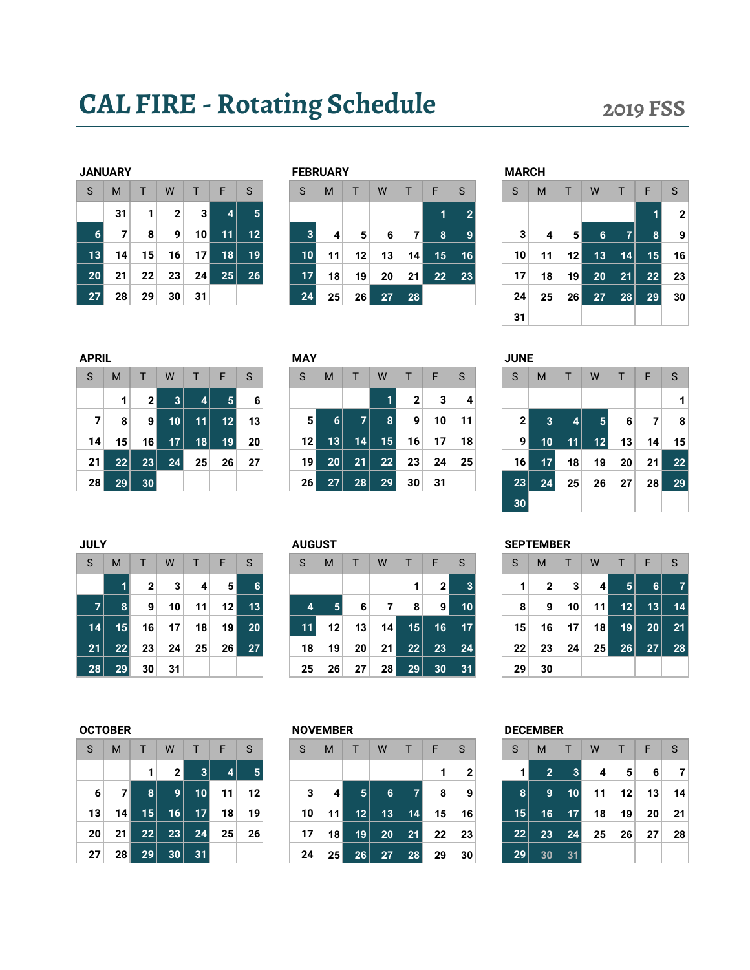## CAL FIRE - Rotating Schedule 2019 FSS

|                 | JANUAKY |    |              |    |                 |                |
|-----------------|---------|----|--------------|----|-----------------|----------------|
| S               | M       | т  | W            | T  | -F              | S              |
|                 | 31      | 1  | $\mathbf{2}$ | 3  | 4               |                |
| $6\phantom{1}6$ | 7       | 8  | 9            | 10 | 11              |                |
| 13              | 14      | 15 | 16           | 17 | $\overline{18}$ | 1              |
| 20              | 21      | 22 | 23           | 24 | 25              | $\overline{a}$ |
| 27              | 28      | 29 | 30           | 31 |                 |                |

|    | <b>JANUARY</b> |    |    |    |    |                 | <b>FEBRUARY</b> |    |    |    |                 |    |    | <b>MARCH</b> |    |                 |    |    |    |    |
|----|----------------|----|----|----|----|-----------------|-----------------|----|----|----|-----------------|----|----|--------------|----|-----------------|----|----|----|----|
| S  | M              |    | W  |    | F  | S               | S               | M  |    | W  |                 | F  | S  | S            | M  |                 | W  |    | F  | S  |
|    | 31             | ٠  | 2  | 3  | 4  | 5 <sup>1</sup>  |                 |    |    |    |                 | 1  | ≘  |              |    |                 |    |    |    | 2  |
| 6  | 7              | 8  | 9  | 10 | 11 | 12              | 3               | 4  | 5  | 6  |                 | 8  | 9  | 3            | 4  | 5               | 6  | 7  | 8  |    |
| 13 | 14             | 15 | 16 | 17 | 18 | 19 <sup>1</sup> | 10 <sub>1</sub> | 11 | 12 | 13 | 14 <sub>1</sub> | 15 | 16 | 10           | 11 | 12 <sub>1</sub> | 13 | 14 | 15 | 16 |
| 20 | 21             | 22 | 23 | 24 | 25 | 26              | 17              | 18 | 19 | 20 | 21              | 22 | 23 | 17           | 18 | 19              | 20 | 21 | 22 | 23 |
| 27 | 28             | 29 | 30 | 31 |    |                 | 24              | 25 | 26 | 27 | 28              |    |    | 24           | 25 | 26              | 27 | 28 | 29 | 30 |
|    |                |    |    |    |    |                 |                 |    |    |    |                 |    |    |              |    |                 |    |    |    |    |

| NUAK 1 |    |                 |                |    |                 | <b>FEBRUARY</b> |    |    |    |    |    |    | <b>MARCH</b> |    |                |    |    |    |                |
|--------|----|-----------------|----------------|----|-----------------|-----------------|----|----|----|----|----|----|--------------|----|----------------|----|----|----|----------------|
| M      |    | W               |                | F  | S               | S               | M  |    | W  |    | F  | S  | S            | M  |                | W  |    | F  | S              |
| 31     |    | 2               | 3 <sup>1</sup> | 4  | 5               |                 |    |    |    |    | 1  |    |              |    |                |    |    |    | $\overline{2}$ |
| 7      | 8  | 9               | 10             | 11 | 12              | $\mathbf{3}$    | 4  | 5  | 6  | 71 | 8  |    | 3            | 4  | 5 <sup>1</sup> | 6  | 7  | 8  | 9              |
| 14     | 15 | 16              | 17             | 18 | 19 <sup>1</sup> | 10              | 11 | 12 | 13 | 14 | 15 | 16 | 10           | 11 | 12             | 13 | 14 | 15 | 16             |
| 21     | 22 | 23              | 24             | 25 | 26              | 17 <sup>2</sup> | 18 | 19 | 20 | 21 | 22 | 23 | 17           | 18 | 19             | 20 | 21 | 22 | 23             |
| 28     | 29 | 30 <sub>1</sub> | 31             |    |                 | 24              | 25 | 26 | 27 | 28 |    |    | 24           | 25 | 26             | 27 | 28 | 29 | 30             |
|        |    |                 |                |    |                 |                 |    |    |    |    |    |    | 31           |    |                |    |    |    |                |

| APRIL |    |    |    |                |    |    |
|-------|----|----|----|----------------|----|----|
| S     | M  | т  | W  | $\mathsf{T}$   | F  | S  |
|       | 1  | 2  | 3  | $\overline{4}$ | 5  | 6  |
| 7     | 8  | 9  | 10 | 11             | 12 | 13 |
| 14    | 15 | 16 | 17 | 18             | 19 | 20 |
| 21    | 22 | 23 | 24 | 25             | 26 | 27 |
| 28    | 29 | 30 |    |                |    |    |

| APRIL          |    |                |                 |                |                |    | <b>MAY</b>      |    |    |                 |                 |    |    | <b>JUNE</b> |                 |    |                 |    |                 |    |
|----------------|----|----------------|-----------------|----------------|----------------|----|-----------------|----|----|-----------------|-----------------|----|----|-------------|-----------------|----|-----------------|----|-----------------|----|
| <sub>S</sub>   | M  |                | W               |                | F              | S  | S               | M  | Ε  | W               |                 | F. | S  | S           | M               |    | W               |    | F               | -S |
|                |    | 2 <sup>1</sup> | 3 <sup>1</sup>  | $\overline{4}$ | 5 <sup>1</sup> | 6  |                 |    |    |                 | $\mathbf{2}$    | 3  | 4  |             |                 |    |                 |    |                 |    |
| $\overline{7}$ | 8  | 9 <sup>1</sup> | 10 <sub>1</sub> | 11             | 12             | 13 | 5 <sup>1</sup>  | 6  | 71 | 8               | 9               | 10 | 11 |             | 3 <sup>1</sup>  | 4  | 5               | 6  |                 | 8  |
| 14             | 15 | 16             | 17 <sup>1</sup> | 18             | 19             | 20 | 12 <sub>1</sub> | 13 | 14 | 15 <sup>2</sup> | 16              | 17 | 18 | 91          | 10 <sub>1</sub> | 11 | 12 <sub>2</sub> | 13 | 14              | 15 |
| 21             | 22 | 23             | 24              | 25             | 26             | 27 | 19              | 20 | 21 | 22              | 23              | 24 | 25 | 16          | 17              | 18 | 19              | 20 | 21 <sup>1</sup> | 22 |
| 28             | 29 | 30             |                 |                |                |    | 26 <sub>l</sub> | 27 | 28 | 29              | 30 <sub>1</sub> | 31 |    | 23          | 24              | 25 | 26              | 27 | 28 <sub>1</sub> | 29 |

| RIL |    |                |                 |    |                |    | <b>MAY</b> |    |    |    |              |    |    | <b>JUNE</b>    |    |    |    |    |    |              |
|-----|----|----------------|-----------------|----|----------------|----|------------|----|----|----|--------------|----|----|----------------|----|----|----|----|----|--------------|
|     | M  |                | W               |    | F              | S  | S          | M  |    | W  |              | F  | S  | S              | M  |    | W  |    | F  | <sub>S</sub> |
|     | 1  | 2 <sub>1</sub> | 3               | 4  | 5 <sup>1</sup> | 6  |            |    |    |    | $\mathbf{2}$ | 3  | 4  |                |    |    |    |    |    |              |
| 7   | 8  | 91             | 10 <sup>1</sup> | 11 | 12             | 13 | 5          | 6  | 7  | 8  | 9            | 10 | 11 | 2 <sub>1</sub> | 3  | 4  | 5. | 6  |    | 8            |
| 4   | 15 | 16             | 17 <sup>2</sup> | 18 | 19             | 20 | 12         | 13 | 14 | 15 | 16           | 17 | 18 | 91             | 10 | 11 | 12 | 13 | 14 | 15           |
| 1   | 22 | 23             | 24              | 25 | 26             | 27 | 19         | 20 | 21 | 22 | 23           | 24 | 25 | 16             | 17 | 18 | 19 | 20 | 21 | 22           |
| 8   | 29 | 30             |                 |    |                |    | 26         | 27 | 28 | 29 | 30           | 31 |    | 23             | 24 | 25 | 26 | 27 | 28 | 29           |
|     |    |                |                 |    |                |    |            |    |    |    |              |    |    | 30             |    |    |    |    |    |              |

| <b>JULY</b> |                 |              |    |    |                 |                 | <b>AUGUST</b> |    |    |    |    |                |    |    | <b>SEPTEMBER</b> |   |
|-------------|-----------------|--------------|----|----|-----------------|-----------------|---------------|----|----|----|----|----------------|----|----|------------------|---|
| S           | M               |              | W  |    | F               | S               | S             | м  |    | W  |    | F              | S  | S  | M                |   |
|             |                 | $\mathbf{2}$ | 3  | 4  | 5               | 6               |               |    |    |    |    | 2 <sub>1</sub> | 3  |    | 2                |   |
| 7           | 8               | 9            | 10 | 11 | 12 <sub>1</sub> | 13              | 4             | 5  | 6  | 7  | 8  | 9              | 10 | 8  | 9                |   |
| 14          | 15              | 16           | 17 | 18 | 19 <sup>1</sup> | 20 <sub>1</sub> | 11            | 12 | 13 | 14 | 15 | $16 \mid$      | 17 | 15 | 16               | 1 |
| 21          | $\overline{2}2$ | 23           | 24 | 25 | 26              | 27              | 18            | 19 | 20 | 21 | 22 | 23             | 24 | 22 | 23               | 2 |
| 28          | 29              | 30           | 31 |    |                 |                 | 25            | 26 | 27 | 28 | 29 | 30             | 31 | 29 | 30               |   |

| . | . .<br>٠ |  |
|---|----------|--|
|   |          |  |
|   |          |  |

|                |    | 2 <sup>1</sup>  | $\vert$ 3       | $\vert$ 4       | -51             |    |                 |                 |                 |                |                | 2 <sup>1</sup> |    |                 | 2 <sup>1</sup>  | $\vert 3 \vert$ | -4 N | 5  | 6  | $\overline{7}$ |
|----------------|----|-----------------|-----------------|-----------------|-----------------|----|-----------------|-----------------|-----------------|----------------|----------------|----------------|----|-----------------|-----------------|-----------------|------|----|----|----------------|
| $\mathbf{z}$   | 8  | 9               | 10 <sup>1</sup> | 11              | 12 <sup>1</sup> | 13 | $\vert$         | 5 <sup>1</sup>  | $6 \mid$        | $\overline{7}$ | 8 <sup>1</sup> | 9 <sup>1</sup> | 10 | 8 <sup>1</sup>  | -91             | 10 <sup>1</sup> | 11   | 12 | 13 | 14             |
| 14 $\vert$     | 15 | 16              | 17              | 18              | 19 <sub>h</sub> | 20 | 11              | 12              | 13              | 14             | 15             | 16             | 17 | 15 <sup>1</sup> | 16              | 17 <sup>1</sup> | 18   | 19 |    | $20$ 21        |
| 21 $\parallel$ | 22 | 23 <sup>1</sup> | 24              | 25 <sub>1</sub> | 26 <sup>1</sup> | 27 | 18 <sup>1</sup> | 19 <sup>1</sup> | 20 <sup>1</sup> | 21             | 22             | 23             | 24 | 22              | 23 <sup>1</sup> | 24              | 25   | 26 | 27 | 28             |
| 28             | 29 | 30 <sup>1</sup> | -31             |                 |                 |    | 25              | 26 <sup>2</sup> | 27 <sup>2</sup> | <b>28</b>      | 29             | 30             | 31 | 29              | 30              |                 |      |    |    |                |

| S  | M  | $\mathsf{T}$ | W            | $\top$          | $-F$ | S  |
|----|----|--------------|--------------|-----------------|------|----|
|    |    | 1            | $\mathbf{2}$ | 3               | 4    | 5  |
| 6  | 7  | 8            | 9            | 10              | 11   | 12 |
| 13 | 14 | 15           | 16           | $1\overline{7}$ | 18   | 19 |
| 20 | 21 | 22           | 23           | 24              | 25   | 26 |
| 27 | 28 | 29           | 30           | 31              |      |    |

| S.              | M  | Τ.              | W               | $T \parallel F$ |                 | -S. | <sub>S</sub> | M               |                 | W               | T.             | F.              | <sub>S</sub> | <sub>S</sub>    | M               | T.              | W  | $-1-$           | F               | -S   |
|-----------------|----|-----------------|-----------------|-----------------|-----------------|-----|--------------|-----------------|-----------------|-----------------|----------------|-----------------|--------------|-----------------|-----------------|-----------------|----|-----------------|-----------------|------|
|                 |    |                 | 2 <sub>1</sub>  | 3               | $\vert$         |     |              |                 |                 |                 |                | 1               | $\mathbf{2}$ |                 | $\vert$ 2       | 3               | 4  | 5 <sup>1</sup>  | 6               | -7   |
| 6               |    | 8               | 9               | 10              | 11              | 12  | 3            | 4 N             | 5               | 6               | $\overline{7}$ | 8               | 9            | 8               | 9               | 10 <sup>1</sup> | 11 | 12              | 13 <sup>1</sup> | 14   |
| 13              | 14 | 15 <sup>1</sup> | 16              | 17              | 18              | 19  | 10           | 11 <sup>1</sup> | 12              | 13              | 14             | 15 <sup>2</sup> | 16           | 15 <sup>1</sup> | 16              | 17 <sup>1</sup> | 18 | 19 <sup>°</sup> | 20 <sub>1</sub> | - 21 |
| 20 <sup>1</sup> | 21 | 22              | 23 <sup>2</sup> | 24              | 25 <sub>1</sub> | 26  | 17           | 18 <sup>1</sup> | 19              | 20 <sub>1</sub> | 21             | 22              | 23           | 22              | 23 <sup>1</sup> | 24              | 25 | 26 <sup>2</sup> | 27              | -28  |
| 27              | 28 | 29 <sup>1</sup> | 30 <sub>1</sub> | 31              |                 |     | 24           | 25              | 26 <sup>2</sup> | 27 <sup>2</sup> | 28             | 29 <sub>1</sub> | 30           | 29              | 30 <sub>1</sub> | 31              |    |                 |                 |      |

### OCTOBER 201910/1/20193 NOVEMBER 201911/1/20196 DECEMBER 2019 12/1/20191

 $W$  T F S S S M T W T F S

| S  | M              | T  | W  | T               | F  | S  |
|----|----------------|----|----|-----------------|----|----|
| 1  | $\overline{2}$ | 3  | 4  | 5               | 6  |    |
| 8  | 9              | 10 | 11 | 12              | 13 | 14 |
| 15 | 16             | 17 | 18 | 19 <sup>1</sup> | 20 | 21 |
| 22 | 23             | 24 | 25 | 26              | 27 | 28 |
| 29 | 30             | 31 |    |                 |    |    |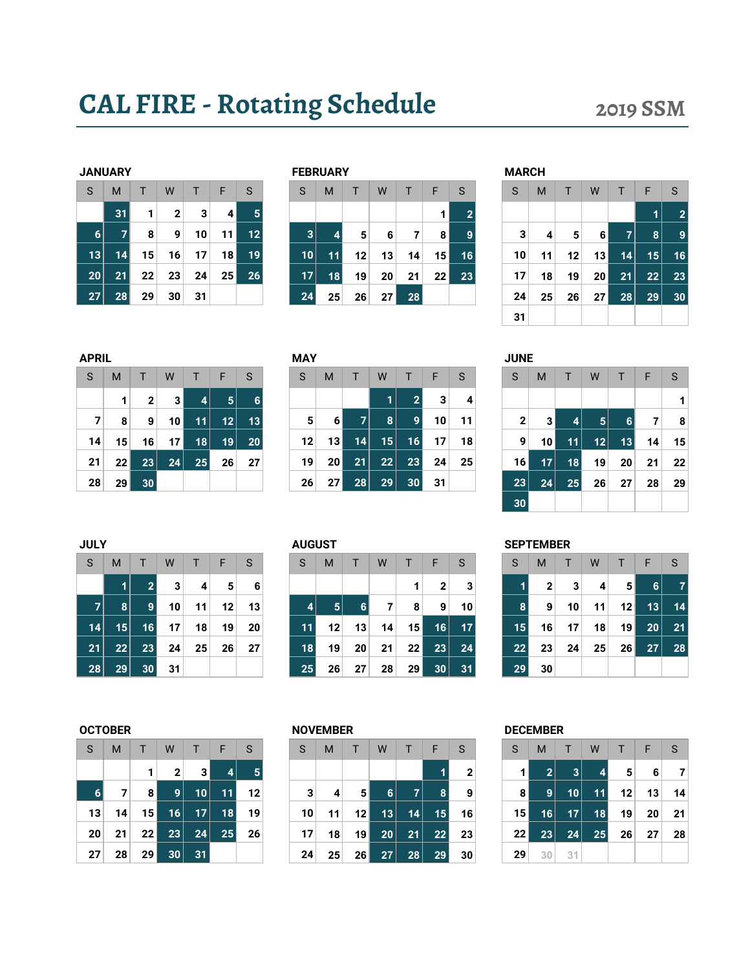# CAL FIRE - Rotating Schedule 2019 SSM

|                 | <b>JANUARY</b> |    |              |    |    |    |
|-----------------|----------------|----|--------------|----|----|----|
| S               | M              | T. | W            | T  | F  | S  |
|                 | 31             | 1  | $\mathbf{2}$ | 3  | 4  | ŗ  |
| $6\phantom{1}6$ | 7              | 8  | 9            | 10 | 11 | 12 |
| 13              | 14             | 15 | 16           | 17 | 18 | 19 |
| 20              | 21             | 22 | 23           | 24 | 25 | 26 |
| 27              | 28             | 29 | 30           | 31 |    |    |

|    | <b>JANUARY</b> |    |    |    |      |                 |  |    | <b>FEBRUARY</b> |    |    |    |                 |    | <b>MARCH</b> |    |    |    |    |    |    |
|----|----------------|----|----|----|------|-----------------|--|----|-----------------|----|----|----|-----------------|----|--------------|----|----|----|----|----|----|
| S  | M              |    | W  |    | F    | <sub>S</sub>    |  | S  | M               |    | W  |    | F               | S  | S            | M  |    | W  |    | F  | S  |
|    | 31             | 1  | 2  | 3  | 4    | 5               |  |    |                 |    |    |    |                 |    |              |    |    |    |    |    | 2  |
| 6  |                | 8  | 9  | 10 | 11 I | 12              |  | 3  | 4               | 5  | 6  | 7  | 8 <sub>1</sub>  | 9  | 3            | 4  | 5  | 6  | 7  | 8  | 9  |
| 13 | 14             | 15 | 16 | 17 | 18   | 19 <sup>1</sup> |  | 10 | 11              | 12 | 13 | 14 | 15 <sup>1</sup> | 16 | 10           | 11 | 12 | 13 | 14 | 15 | 16 |
| 20 | 21             | 22 | 23 | 24 | 25   | 26              |  | 17 | 18              | 19 | 20 | 21 | 22 <sub>1</sub> | 23 | 17           | 18 | 19 | 20 | 21 | 22 | 23 |
| 27 | 28             | 29 | 30 | 31 |      |                 |  | 24 | 25              | 26 | 27 | 28 |                 |    | 24           | 25 | 26 | 27 | 28 | 29 | 30 |
|    |                |    |    |    |      |                 |  |    |                 |    |    |    |                 |    |              |    |    |    |    |    |    |

|    | M  |    | W               | T  | F  | S  | <sub>S</sub> | M  |                | W  |    | F               | S              | S               | M  |                | W               | Т              | F              | S              |
|----|----|----|-----------------|----|----|----|--------------|----|----------------|----|----|-----------------|----------------|-----------------|----|----------------|-----------------|----------------|----------------|----------------|
|    | 31 | 1  | $\mathbf 2$     | 3  | 4  |    |              |    |                |    |    |                 | $\overline{2}$ |                 |    |                |                 |                | 1.             | $\overline{2}$ |
| 61 |    | 8  | 9               | 10 | 11 | 12 | 3            |    | 5 <sup>1</sup> | 6  | 7  | 8 <sup>1</sup>  | 9              | 3               | 4  | 5 <sup>1</sup> | 6               | $\overline{7}$ | 8 <sup>1</sup> | 9              |
| 31 | 14 | 15 | 16              | 17 | 18 | 19 | 10           | 11 | 12             | 13 | 14 | 15 <sup>1</sup> | 16             | 10 <sup>1</sup> | 11 | 12             | 13              | 14             | 15             | 16             |
| 0  | 21 | 22 | 23              | 24 | 25 | 26 | 17           | 18 | 19             | 20 | 21 | 22              | 23             | 17 <sup>1</sup> | 18 | 19             | 20 <sub>1</sub> | 21             | 22             | 23             |
| 71 | 28 | 29 | 30 <sub>1</sub> | 31 |    |    | 24           | 25 | 26             | 27 | 28 |                 |                | 24              | 25 | 26             | 27              | 28             | 29             | 30             |
|    |    |    |                 |    |    |    |              |    |                |    |    |                 |                | 31              |    |                |                 |                |                |                |
|    |    |    |                 |    |    |    |              |    |                |    |    |                 |                |                 |    |                |                 |                |                |                |

| APRIL |    |             |    |                |                |    |
|-------|----|-------------|----|----------------|----------------|----|
| S     | M  | т           | W  | T.             | F              | S  |
|       | 1  | $\mathbf 2$ | 3  | $\overline{4}$ | $5\phantom{1}$ | 6  |
| 7     | 8  | 9           | 10 | 11             | 12             | 13 |
| 14    | 15 | 16          | 17 | 18             | 19             | 20 |
| 21    | 22 | 23          | 24 | 25             | 26             | 27 |
| 28    | 29 | 30          |    |                |                |    |

| FRIL |                 |              |    |    |                |    | <b>IVIAT</b> |                 |    |    |    |    |              | JUNE         |    |    |                |    |    |    |
|------|-----------------|--------------|----|----|----------------|----|--------------|-----------------|----|----|----|----|--------------|--------------|----|----|----------------|----|----|----|
| S.   | M               |              | W  |    | E              | S  | S            | M               |    | W  | т  | F  | <sub>S</sub> | S            | M  | т  | W              |    | F  | S. |
|      | 1               | $\mathbf{2}$ | 3  | 4  | 5 <sup>1</sup> | 6  |              |                 |    |    | 2  | 3  | 4            |              |    |    |                |    |    |    |
|      | 8               | 9            | 10 | 11 | 12             | 13 | 5            | 6               |    | 8  | 9  | 10 | 11           | $\mathbf{2}$ |    | 4  | 5 <sub>5</sub> | 6  |    | 8  |
| 14   | 15 <sup>1</sup> | 16           | 17 | 18 | 19             | 20 | 12           | 13 <sub>1</sub> | 14 | 15 | 16 | 17 | 18           | 9            | 10 | 11 | 12             | 13 | 14 | 15 |
| 21   | 22              | 23           | 24 | 25 | 26             | 27 | 19           | 20 <sub>1</sub> | 21 | 22 | 23 | 24 | 25           | ا 16         | 17 | 18 | 19             | 20 | 21 | 22 |
| 28   | 29 <sub>1</sub> | 30           |    |    |                |    | 26           | 27              | 28 | 29 | 30 | 31 |              | 23           | 24 | 25 | 26             | 27 | 28 | 29 |

| APRIL |                 |    |                 |    |                |    | <b>MAY</b> |          |                 |    |                |    |    | <b>JUNE</b>     |                 |    |                 |    |    |              |
|-------|-----------------|----|-----------------|----|----------------|----|------------|----------|-----------------|----|----------------|----|----|-----------------|-----------------|----|-----------------|----|----|--------------|
| S     | M               |    | W               |    | F              | S  | S          | M        |                 | W  |                | F  | S  | S               | M               |    | W               |    | F  | <sub>S</sub> |
|       |                 | 2  | 3               | 4  | 5 <sup>1</sup> | 6  |            |          |                 |    | $\overline{2}$ | 3  | 4  |                 |                 |    |                 |    |    |              |
| 7     | 8               | 9  | 10 <sup>1</sup> | 11 | 12             | 13 | 5          | $6 \mid$ | 7               | 8  | 9              | 10 | 11 | 2               | 31              | 4  | $\vert 5 \vert$ | 6  | 7  | 8            |
| 14    | 15              | 16 | 17 <sup>1</sup> | 18 | 19             | 20 | 12         | 13       | 14 <sup>1</sup> | 15 | 16             | 17 | 18 | 9               | 10 <sub>1</sub> | 11 | 12              | 13 | 14 | 15           |
| 21    | 22              | 23 | 24              | 25 | 26             | 27 | 19         | 20       | 21              | 22 | 23             | 24 | 25 | 16 <sub>h</sub> | 17 <sup>1</sup> | 18 | 19              | 20 | 21 | 22           |
| 28    | 29 <sub>1</sub> | 30 |                 |    |                |    | 26         | 27       | 28              | 29 | 30             | 31 |    | 23              | 24              | 25 | 26              | 27 | 28 | 29           |
|       |                 |    |                 |    |                |    |            |          |                 |    |                |    |    | 30              |                 |    |                 |    |    |              |

| <b>JULY</b> |                 |    |    |                 |    |    |    | <b>AUGUST</b> |    |    |    |                 |    |    | <b>SEPTEMBER</b> |                 |    |    |                 |    |    |
|-------------|-----------------|----|----|-----------------|----|----|----|---------------|----|----|----|-----------------|----|----|------------------|-----------------|----|----|-----------------|----|----|
| S           | м               |    | W  |                 | г  | S  | S  | M             |    |    | W  |                 | ⊢  | S  | S                | м               |    | W  |                 | F  | S  |
|             |                 | ີ  | 3  | 4               | 5  | 6  |    |               |    |    |    |                 | ◠  | 3  |                  | ົ               | 3  | 4  | 5               | 6  |    |
| ⇁           | 81              | 9  | 10 | 11              | 12 | 13 |    | 4             | 5  | 6  | ⇁  | 8               | 9  | 10 |                  | 9               | 10 | 11 | 12 <sub>1</sub> | 13 | 14 |
| 14          | 15 <sup>1</sup> | 16 | 17 | 18              | 19 | 20 |    | 11            | 12 | 13 | 14 | 15              | 6  | 17 | 15               | 16 <sub>1</sub> | 17 | 18 | 19 <sup>1</sup> | 20 | 21 |
| 21          | 22              | 23 | 24 | 25 <sub>1</sub> | 26 | 27 |    | 18            | 19 | 20 | 21 | 22 <sub>1</sub> | 23 | 24 | 22               | 23 <sub>1</sub> | 24 | 25 | 26              | 27 | 28 |
| 28          | 29              | 30 | 31 |                 |    |    | 25 |               | 26 | 27 | 28 | 29              | 30 | 31 | 29 <sup>°</sup>  | 30              |    |    |                 |    |    |

| S  | м  | т  | W  |    |  |
|----|----|----|----|----|--|
|    |    |    |    | 1  |  |
| 4  | 5  | 6  | 7  | 8  |  |
| 11 | 12 | 13 | 14 | 15 |  |

| S               | M  | $\mathsf{T}$ | W               | T  | F  | S  |
|-----------------|----|--------------|-----------------|----|----|----|
|                 |    | 1            | $\mathbf{2}$    | 3  | 4  | 5  |
| $6\phantom{1}6$ | 7  | 8            | 9               | 10 | 11 | 12 |
| 13              | 14 | 15           | 16              | 17 | 18 | 19 |
| 20              | 21 | 22           | 23              | 24 | 25 | 26 |
| 27              | 28 | 29           | $\overline{3}0$ | 31 |    |    |

| S.              | M              | Τ.              | W               | T               | - F               | /S | <sub>S</sub> | M  |                 | W               | T.             | F.              | <sub>S</sub>   | <sub>S</sub>    | M  | T.              | W         | $\blacksquare$  | F               | -S   |
|-----------------|----------------|-----------------|-----------------|-----------------|-------------------|----|--------------|----|-----------------|-----------------|----------------|-----------------|----------------|-----------------|----|-----------------|-----------|-----------------|-----------------|------|
|                 |                |                 | $\mathbf{2}$    | 3               | $\vert$ 4         |    |              |    |                 |                 |                |                 | $\overline{2}$ |                 | 2  | 3 <sup>1</sup>  | $\vert$ 4 | 5 <sup>1</sup>  | 6               | -7   |
| 6 <sup>1</sup>  | $\overline{7}$ | 81              | $\overline{9}$  | 10              | 11                | 12 | 3            | 4  | 5 <sup>1</sup>  | 6               | $\overline{7}$ | 8 <sup>1</sup>  | 9              | 8               | 9  | 10 <sup>1</sup> | 11        | 12              | 13 <sup>1</sup> | 14   |
| 13 <sup>1</sup> | 14             | 15 <sup>1</sup> | 16              | 17 <sup>1</sup> | $\blacksquare$ 18 | 19 | 10           | 11 | 12 <sub>1</sub> | 13              | 14             | 15              | 16             | 15 <sup>1</sup> | 16 | 17 <sup>1</sup> | 18        | 19 <sup>1</sup> | 20 <sub>1</sub> | - 21 |
| 20 <sub>1</sub> | 21             | 22 <sub>1</sub> | 23              | 24              | 25                | 26 | 17           | 18 | 19 I            | 20              | 21             | 22              | 23             | 22 <sub>1</sub> | 23 | 24              | 25        | 26              | 27              | 28   |
| 27 <sup>1</sup> | 28             | 29 <sub>1</sub> | 30 <sup>1</sup> | 31              |                   |    | 24           | 25 | 26              | 27 <sup>2</sup> | 28             | 29 <sub>1</sub> | 30             | 29              | 30 | 31              |           |                 |                 |      |

| S  | M              | T  | W  | $\mathsf{T}$ | F  | S  |
|----|----------------|----|----|--------------|----|----|
| 1  | $\overline{2}$ | 3  | 4  | 5            | 6  |    |
| 8  | 9              | 10 | 11 | 12           | 13 | 14 |
| 15 | 16             | 17 | 18 | 19           | 20 | 21 |
| 22 | 23             | 24 | 25 | 26           | 27 | 28 |
| 29 | 30             | 31 |    |              |    |    |